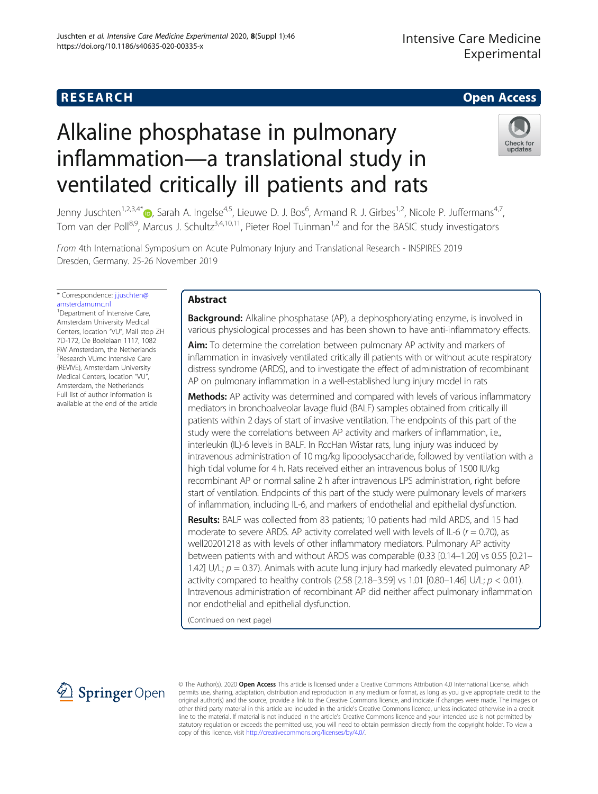# **RESEARCH CHILD CONTROL** CONTROL CONTROL CONTROL CONTROL CONTROL CONTROL CONTROL CONTROL CONTROL CONTROL CONTROL

# Alkaline phosphatase in pulmonary inflammation—a translational study in ventilated critically ill patients and rats



Jenny Juschten<sup>1[,](http://orcid.org/0000-0003-2176-5072)2,3,4\*</sup>®, Sarah A. Ingelse<sup>4,5</sup>, Lieuwe D. J. Bos<sup>6</sup>, Armand R. J. Girbes<sup>1,2</sup>, Nicole P. Juffermans<sup>4,7</sup>, Tom van der Poll8,9, Marcus J. Schultz3,4,10,11, Pieter Roel Tuinman1,2 and for the BASIC study investigators

From 4th International Symposium on Acute Pulmonary Injury and Translational Research - INSPIRES 2019 Dresden, Germany. 25-26 November 2019

\* Correspondence: [j.juschten@](mailto:j.juschten@amsterdamumc.nl) [amsterdamumc.nl](mailto:j.juschten@amsterdamumc.nl) <sup>1</sup> Department of Intensive Care,

Amsterdam University Medical Centers, location "VU", Mail stop ZH 7D-172, De Boelelaan 1117, 1082 RW Amsterdam, the Netherlands <sup>2</sup> Research VUmc Intensive Care (REVIVE), Amsterdam University Medical Centers, location "VU", Amsterdam, the Netherlands Full list of author information is available at the end of the article

# Abstract

**Background:** Alkaline phosphatase (AP), a dephosphorylating enzyme, is involved in various physiological processes and has been shown to have anti-inflammatory effects.

Aim: To determine the correlation between pulmonary AP activity and markers of inflammation in invasively ventilated critically ill patients with or without acute respiratory distress syndrome (ARDS), and to investigate the effect of administration of recombinant AP on pulmonary inflammation in a well-established lung injury model in rats

**Methods:** AP activity was determined and compared with levels of various inflammatory mediators in bronchoalveolar lavage fluid (BALF) samples obtained from critically ill patients within 2 days of start of invasive ventilation. The endpoints of this part of the study were the correlations between AP activity and markers of inflammation, i.e., interleukin (IL)-6 levels in BALF. In RccHan Wistar rats, lung injury was induced by intravenous administration of 10 mg/kg lipopolysaccharide, followed by ventilation with a high tidal volume for 4 h. Rats received either an intravenous bolus of 1500 IU/kg recombinant AP or normal saline 2 h after intravenous LPS administration, right before start of ventilation. Endpoints of this part of the study were pulmonary levels of markers of inflammation, including IL-6, and markers of endothelial and epithelial dysfunction.

Results: BALF was collected from 83 patients; 10 patients had mild ARDS, and 15 had moderate to severe ARDS. AP activity correlated well with levels of IL-6 ( $r = 0.70$ ), as well20201218 as with levels of other inflammatory mediators. Pulmonary AP activity between patients with and without ARDS was comparable (0.33 [0.14–1.20] vs 0.55 [0.21– 1.42] U/L;  $p = 0.37$ ). Animals with acute lung injury had markedly elevated pulmonary AP activity compared to healthy controls (2.58 [2.18–3.59] vs 1.01 [0.80–1.46] U/L;  $p < 0.01$ ). Intravenous administration of recombinant AP did neither affect pulmonary inflammation nor endothelial and epithelial dysfunction.

(Continued on next page)



© The Author(s). 2020 Open Access This article is licensed under a Creative Commons Attribution 4.0 International License, which permits use, sharing, adaptation, distribution and reproduction in any medium or format, as long as you give appropriate credit to the original author(s) and the source, provide a link to the Creative Commons licence, and indicate if changes were made. The images or other third party material in this article are included in the article's Creative Commons licence, unless indicated otherwise in a credit line to the material. If material is not included in the article's Creative Commons licence and your intended use is not permitted by statutory regulation or exceeds the permitted use, you will need to obtain permission directly from the copyright holder. To view a copy of this licence, visit <http://creativecommons.org/licenses/by/4.0/>.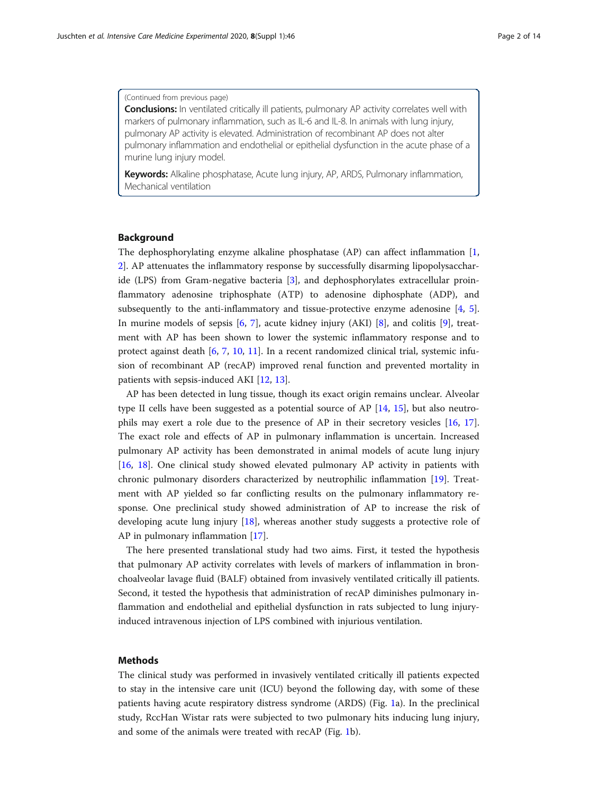#### (Continued from previous page)

**Conclusions:** In ventilated critically ill patients, pulmonary AP activity correlates well with markers of pulmonary inflammation, such as IL-6 and IL-8. In animals with lung injury, pulmonary AP activity is elevated. Administration of recombinant AP does not alter pulmonary inflammation and endothelial or epithelial dysfunction in the acute phase of a murine lung injury model.

Keywords: Alkaline phosphatase, Acute lung injury, AP, ARDS, Pulmonary inflammation, Mechanical ventilation

# Background

The dephosphorylating enzyme alkaline phosphatase (AP) can affect inflammation [[1](#page-12-0), [2\]](#page-12-0). AP attenuates the inflammatory response by successfully disarming lipopolysaccharide (LPS) from Gram-negative bacteria [[3\]](#page-12-0), and dephosphorylates extracellular proinflammatory adenosine triphosphate (ATP) to adenosine diphosphate (ADP), and subsequently to the anti-inflammatory and tissue-protective enzyme adenosine [\[4](#page-12-0), [5](#page-12-0)]. In murine models of sepsis [[6,](#page-12-0) [7](#page-12-0)], acute kidney injury (AKI) [\[8](#page-12-0)], and colitis [\[9](#page-12-0)], treatment with AP has been shown to lower the systemic inflammatory response and to protect against death [[6,](#page-12-0) [7](#page-12-0), [10,](#page-12-0) [11\]](#page-13-0). In a recent randomized clinical trial, systemic infusion of recombinant AP (recAP) improved renal function and prevented mortality in patients with sepsis-induced AKI [[12,](#page-13-0) [13\]](#page-13-0).

AP has been detected in lung tissue, though its exact origin remains unclear. Alveolar type II cells have been suggested as a potential source of AP [[14](#page-13-0), [15\]](#page-13-0), but also neutrophils may exert a role due to the presence of AP in their secretory vesicles [\[16](#page-13-0), [17](#page-13-0)]. The exact role and effects of AP in pulmonary inflammation is uncertain. Increased pulmonary AP activity has been demonstrated in animal models of acute lung injury [[16,](#page-13-0) [18](#page-13-0)]. One clinical study showed elevated pulmonary AP activity in patients with chronic pulmonary disorders characterized by neutrophilic inflammation [\[19](#page-13-0)]. Treatment with AP yielded so far conflicting results on the pulmonary inflammatory response. One preclinical study showed administration of AP to increase the risk of developing acute lung injury [[18](#page-13-0)], whereas another study suggests a protective role of AP in pulmonary inflammation [\[17\]](#page-13-0).

The here presented translational study had two aims. First, it tested the hypothesis that pulmonary AP activity correlates with levels of markers of inflammation in bronchoalveolar lavage fluid (BALF) obtained from invasively ventilated critically ill patients. Second, it tested the hypothesis that administration of recAP diminishes pulmonary inflammation and endothelial and epithelial dysfunction in rats subjected to lung injuryinduced intravenous injection of LPS combined with injurious ventilation.

# **Methods**

The clinical study was performed in invasively ventilated critically ill patients expected to stay in the intensive care unit (ICU) beyond the following day, with some of these patients having acute respiratory distress syndrome (ARDS) (Fig. [1](#page-2-0)a). In the preclinical study, RccHan Wistar rats were subjected to two pulmonary hits inducing lung injury, and some of the animals were treated with recAP (Fig. [1b](#page-2-0)).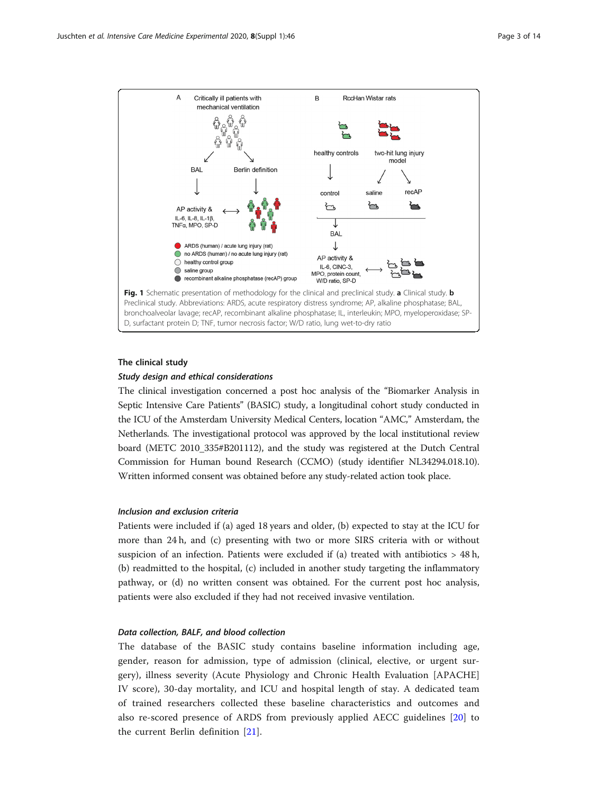<span id="page-2-0"></span>

# The clinical study Study design and ethical considerations

The clinical investigation concerned a post hoc analysis of the "Biomarker Analysis in Septic Intensive Care Patients" (BASIC) study, a longitudinal cohort study conducted in the ICU of the Amsterdam University Medical Centers, location "AMC," Amsterdam, the Netherlands. The investigational protocol was approved by the local institutional review board (METC 2010\_335#B201112), and the study was registered at the Dutch Central Commission for Human bound Research (CCMO) (study identifier NL34294.018.10). Written informed consent was obtained before any study-related action took place.

# Inclusion and exclusion criteria

Patients were included if (a) aged 18 years and older, (b) expected to stay at the ICU for more than 24 h, and (c) presenting with two or more SIRS criteria with or without suspicion of an infection. Patients were excluded if (a) treated with antibiotics  $> 48$  h, (b) readmitted to the hospital, (c) included in another study targeting the inflammatory pathway, or (d) no written consent was obtained. For the current post hoc analysis, patients were also excluded if they had not received invasive ventilation.

#### Data collection, BALF, and blood collection

The database of the BASIC study contains baseline information including age, gender, reason for admission, type of admission (clinical, elective, or urgent surgery), illness severity (Acute Physiology and Chronic Health Evaluation [APACHE] IV score), 30-day mortality, and ICU and hospital length of stay. A dedicated team of trained researchers collected these baseline characteristics and outcomes and also re-scored presence of ARDS from previously applied AECC guidelines [[20\]](#page-13-0) to the current Berlin definition [[21\]](#page-13-0).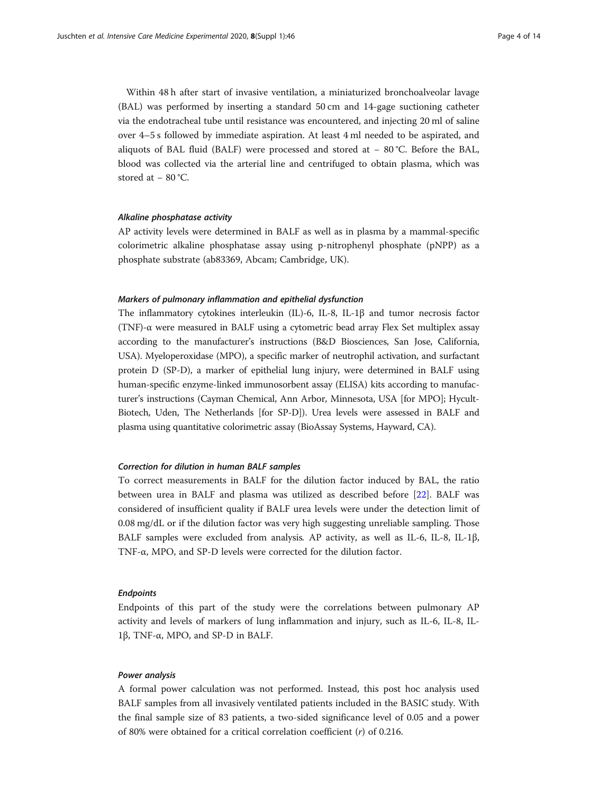Within 48 h after start of invasive ventilation, a miniaturized bronchoalveolar lavage (BAL) was performed by inserting a standard 50 cm and 14-gage suctioning catheter via the endotracheal tube until resistance was encountered, and injecting 20 ml of saline over 4–5 s followed by immediate aspiration. At least 4 ml needed to be aspirated, and aliquots of BAL fluid (BALF) were processed and stored at − 80 °C. Before the BAL, blood was collected via the arterial line and centrifuged to obtain plasma, which was stored at − 80 °C.

# Alkaline phosphatase activity

AP activity levels were determined in BALF as well as in plasma by a mammal-specific colorimetric alkaline phosphatase assay using p-nitrophenyl phosphate (pNPP) as a phosphate substrate (ab83369, Abcam; Cambridge, UK).

# Markers of pulmonary inflammation and epithelial dysfunction

The inflammatory cytokines interleukin (IL)-6, IL-8, IL-1β and tumor necrosis factor (TNF)- $\alpha$  were measured in BALF using a cytometric bead array Flex Set multiplex assay according to the manufacturer's instructions (B&D Biosciences, San Jose, California, USA). Myeloperoxidase (MPO), a specific marker of neutrophil activation, and surfactant protein D (SP-D), a marker of epithelial lung injury, were determined in BALF using human-specific enzyme-linked immunosorbent assay (ELISA) kits according to manufacturer's instructions (Cayman Chemical, Ann Arbor, Minnesota, USA [for MPO]; Hycult-Biotech, Uden, The Netherlands [for SP-D]). Urea levels were assessed in BALF and plasma using quantitative colorimetric assay (BioAssay Systems, Hayward, CA).

# Correction for dilution in human BALF samples

To correct measurements in BALF for the dilution factor induced by BAL, the ratio between urea in BALF and plasma was utilized as described before [[22\]](#page-13-0). BALF was considered of insufficient quality if BALF urea levels were under the detection limit of 0.08 mg/dL or if the dilution factor was very high suggesting unreliable sampling. Those BALF samples were excluded from analysis. AP activity, as well as IL-6, IL-8, IL-1β, TNF-α, MPO, and SP-D levels were corrected for the dilution factor.

#### Endpoints

Endpoints of this part of the study were the correlations between pulmonary AP activity and levels of markers of lung inflammation and injury, such as IL-6, IL-8, IL-1β, TNF-α, MPO, and SP-D in BALF.

# Power analysis

A formal power calculation was not performed. Instead, this post hoc analysis used BALF samples from all invasively ventilated patients included in the BASIC study. With the final sample size of 83 patients, a two-sided significance level of 0.05 and a power of 80% were obtained for a critical correlation coefficient  $(r)$  of 0.216.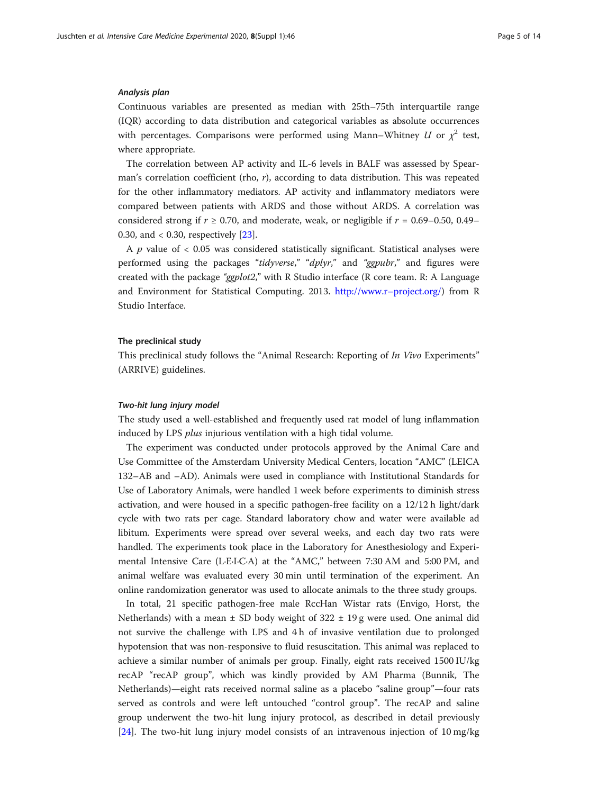#### Analysis plan

Continuous variables are presented as median with 25th–75th interquartile range (IQR) according to data distribution and categorical variables as absolute occurrences with percentages. Comparisons were performed using Mann–Whitney  $U$  or  $\chi^2$  test, where appropriate.

The correlation between AP activity and IL-6 levels in BALF was assessed by Spearman's correlation coefficient (rho, r), according to data distribution. This was repeated for the other inflammatory mediators. AP activity and inflammatory mediators were compared between patients with ARDS and those without ARDS. A correlation was considered strong if  $r \ge 0.70$ , and moderate, weak, or negligible if  $r = 0.69 - 0.50$ , 0.49– 0.30, and < 0.30, respectively [\[23](#page-13-0)].

A  $p$  value of  $< 0.05$  was considered statistically significant. Statistical analyses were performed using the packages "tidyverse," "dplyr," and "ggpubr," and figures were created with the package "ggplot2," with R Studio interface (R core team. R: A Language and Environment for Statistical Computing. 2013. [http://www.r](http://www.r-project.org/)–project.org/) from R Studio Interface.

#### The preclinical study

This preclinical study follows the "Animal Research: Reporting of In Vivo Experiments" (ARRIVE) guidelines.

# Two-hit lung injury model

The study used a well-established and frequently used rat model of lung inflammation induced by LPS plus injurious ventilation with a high tidal volume.

The experiment was conducted under protocols approved by the Animal Care and Use Committee of the Amsterdam University Medical Centers, location "AMC" (LEICA 132–AB and –AD). Animals were used in compliance with Institutional Standards for Use of Laboratory Animals, were handled 1 week before experiments to diminish stress activation, and were housed in a specific pathogen-free facility on a 12/12 h light/dark cycle with two rats per cage. Standard laboratory chow and water were available ad libitum. Experiments were spread over several weeks, and each day two rats were handled. The experiments took place in the Laboratory for Anesthesiology and Experimental Intensive Care (L·E·I·C·A) at the "AMC," between 7:30 AM and 5:00 PM, and animal welfare was evaluated every 30 min until termination of the experiment. An online randomization generator was used to allocate animals to the three study groups.

In total, 21 specific pathogen-free male RccHan Wistar rats (Envigo, Horst, the Netherlands) with a mean  $\pm$  SD body weight of 322  $\pm$  19 g were used. One animal did not survive the challenge with LPS and 4 h of invasive ventilation due to prolonged hypotension that was non-responsive to fluid resuscitation. This animal was replaced to achieve a similar number of animals per group. Finally, eight rats received 1500 IU/kg recAP "recAP group", which was kindly provided by AM Pharma (Bunnik, The Netherlands)—eight rats received normal saline as a placebo "saline group"—four rats served as controls and were left untouched "control group". The recAP and saline group underwent the two-hit lung injury protocol, as described in detail previously [[24\]](#page-13-0). The two-hit lung injury model consists of an intravenous injection of 10 mg/kg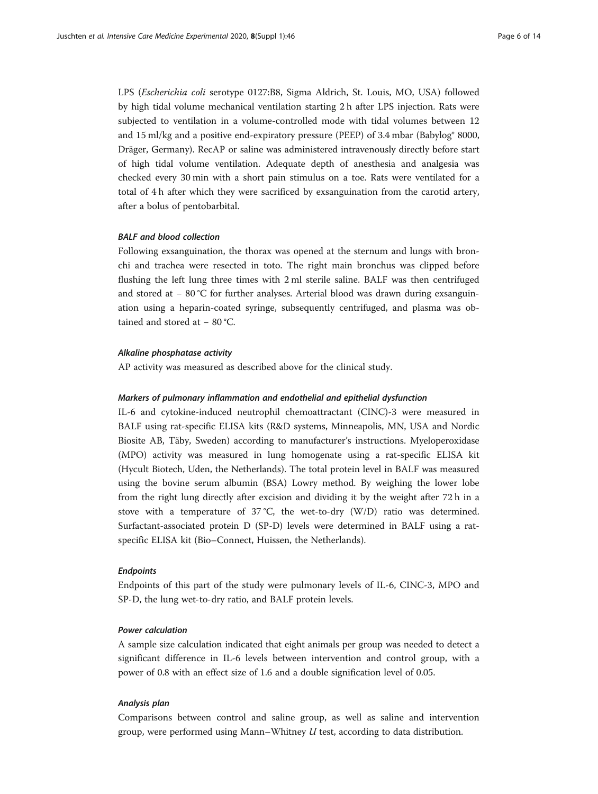LPS (Escherichia coli serotype 0127:B8, Sigma Aldrich, St. Louis, MO, USA) followed by high tidal volume mechanical ventilation starting 2 h after LPS injection. Rats were subjected to ventilation in a volume-controlled mode with tidal volumes between 12 and 15 ml/kg and a positive end-expiratory pressure (PEEP) of 3.4 mbar (Babylog® 8000, Dräger, Germany). RecAP or saline was administered intravenously directly before start of high tidal volume ventilation. Adequate depth of anesthesia and analgesia was checked every 30 min with a short pain stimulus on a toe. Rats were ventilated for a total of 4 h after which they were sacrificed by exsanguination from the carotid artery, after a bolus of pentobarbital.

# BALF and blood collection

Following exsanguination, the thorax was opened at the sternum and lungs with bronchi and trachea were resected in toto. The right main bronchus was clipped before flushing the left lung three times with 2 ml sterile saline. BALF was then centrifuged and stored at − 80 °C for further analyses. Arterial blood was drawn during exsanguination using a heparin-coated syringe, subsequently centrifuged, and plasma was obtained and stored at − 80 °C.

#### Alkaline phosphatase activity

AP activity was measured as described above for the clinical study.

## Markers of pulmonary inflammation and endothelial and epithelial dysfunction

IL-6 and cytokine-induced neutrophil chemoattractant (CINC)-3 were measured in BALF using rat-specific ELISA kits (R&D systems, Minneapolis, MN, USA and Nordic Biosite AB, Täby, Sweden) according to manufacturer's instructions. Myeloperoxidase (MPO) activity was measured in lung homogenate using a rat-specific ELISA kit (Hycult Biotech, Uden, the Netherlands). The total protein level in BALF was measured using the bovine serum albumin (BSA) Lowry method. By weighing the lower lobe from the right lung directly after excision and dividing it by the weight after 72 h in a stove with a temperature of  $37^{\circ}$ C, the wet-to-dry (W/D) ratio was determined. Surfactant-associated protein D (SP-D) levels were determined in BALF using a ratspecific ELISA kit (Bio–Connect, Huissen, the Netherlands).

#### Endpoints

Endpoints of this part of the study were pulmonary levels of IL-6, CINC-3, MPO and SP-D, the lung wet-to-dry ratio, and BALF protein levels.

# Power calculation

A sample size calculation indicated that eight animals per group was needed to detect a significant difference in IL-6 levels between intervention and control group, with a power of 0.8 with an effect size of 1.6 and a double signification level of 0.05.

## Analysis plan

Comparisons between control and saline group, as well as saline and intervention group, were performed using Mann–Whitney U test, according to data distribution.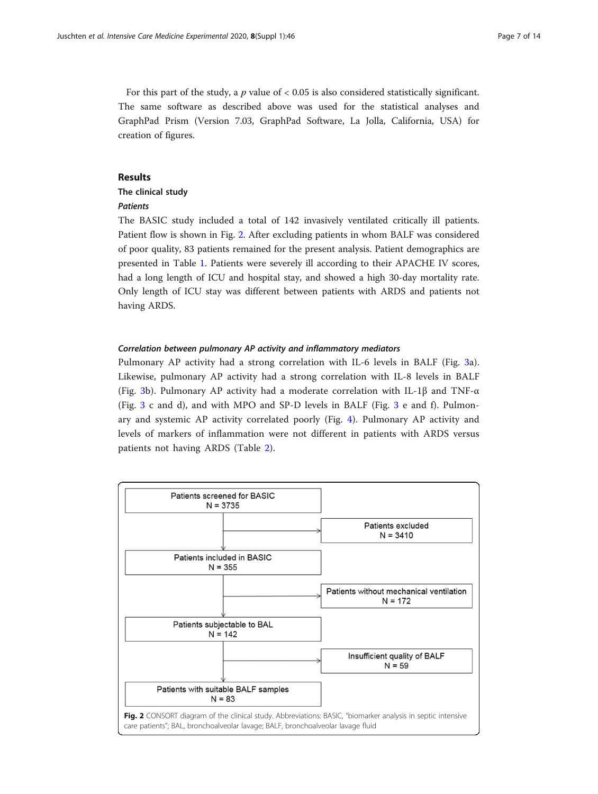For this part of the study, a  $p$  value of  $< 0.05$  is also considered statistically significant. The same software as described above was used for the statistical analyses and GraphPad Prism (Version 7.03, GraphPad Software, La Jolla, California, USA) for creation of figures.

#### Results

# The clinical study

#### Patients

The BASIC study included a total of 142 invasively ventilated critically ill patients. Patient flow is shown in Fig. 2. After excluding patients in whom BALF was considered of poor quality, 83 patients remained for the present analysis. Patient demographics are presented in Table [1](#page-7-0). Patients were severely ill according to their APACHE IV scores, had a long length of ICU and hospital stay, and showed a high 30-day mortality rate. Only length of ICU stay was different between patients with ARDS and patients not having ARDS.

#### Correlation between pulmonary AP activity and inflammatory mediators

Pulmonary AP activity had a strong correlation with IL-6 levels in BALF (Fig. [3a](#page-8-0)). Likewise, pulmonary AP activity had a strong correlation with IL-8 levels in BALF (Fig. [3b](#page-8-0)). Pulmonary AP activity had a moderate correlation with IL-1 $\beta$  and TNF- $\alpha$ (Fig. [3](#page-8-0) c and d), and with MPO and SP-D levels in BALF (Fig. [3](#page-8-0) e and f). Pulmonary and systemic AP activity correlated poorly (Fig. [4](#page-9-0)). Pulmonary AP activity and levels of markers of inflammation were not different in patients with ARDS versus patients not having ARDS (Table [2\)](#page-9-0).

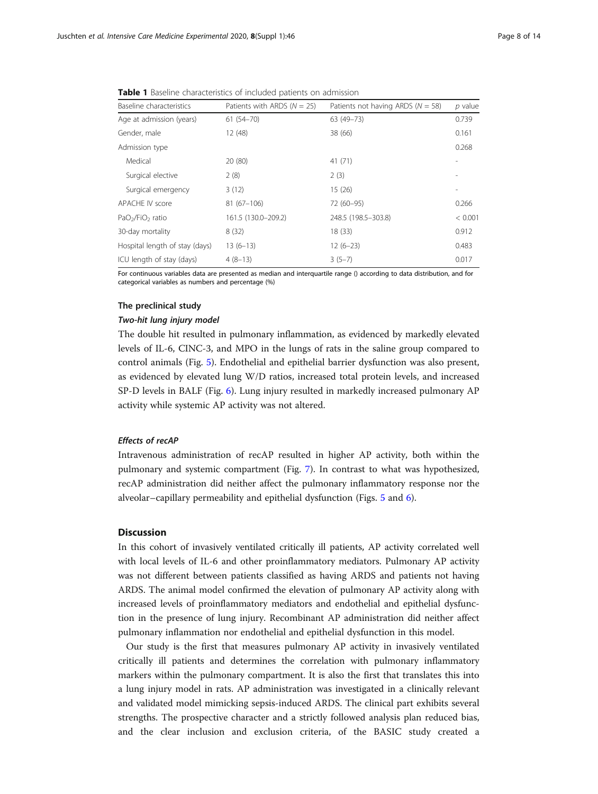<span id="page-7-0"></span>Table 1 Baseline characteristics of included patients on admission

| Baseline characteristics                 | Patients with ARDS $(N = 25)$ | Patients not having ARDS ( $N = 58$ ) | p value |
|------------------------------------------|-------------------------------|---------------------------------------|---------|
| Age at admission (years)                 | $61(54 - 70)$                 | 63 (49-73)                            | 0.739   |
| Gender, male                             | 12 (48)                       | 38 (66)                               | 0.161   |
| Admission type                           |                               |                                       | 0.268   |
| Medical                                  | 20 (80)                       | 41(71)                                |         |
| Surgical elective                        | 2(8)                          | 2(3)                                  |         |
| Surgical emergency                       | 3(12)                         | 15(26)                                |         |
| <b>APACHE IV score</b>                   | $81(67-106)$                  | 72 (60-95)                            | 0.266   |
| PaO <sub>2</sub> /FiO <sub>2</sub> ratio | 161.5 (130.0-209.2)           | 248.5 (198.5-303.8)                   | < 0.001 |
| 30-day mortality                         | 8(32)                         | 18(33)                                | 0.912   |
| Hospital length of stay (days)           | $13(6-13)$                    | $12(6-23)$                            | 0.483   |
| ICU length of stay (days)                | $4(8-13)$                     | $3(5-7)$                              | 0.017   |

For continuous variables data are presented as median and interquartile range () according to data distribution, and for categorical variables as numbers and percentage (%)

# The preclinical study

#### Two-hit lung injury model

The double hit resulted in pulmonary inflammation, as evidenced by markedly elevated levels of IL-6, CINC-3, and MPO in the lungs of rats in the saline group compared to control animals (Fig. [5](#page-10-0)). Endothelial and epithelial barrier dysfunction was also present, as evidenced by elevated lung W/D ratios, increased total protein levels, and increased SP-D levels in BALF (Fig. [6](#page-10-0)). Lung injury resulted in markedly increased pulmonary AP activity while systemic AP activity was not altered.

#### Effects of recAP

Intravenous administration of recAP resulted in higher AP activity, both within the pulmonary and systemic compartment (Fig. [7\)](#page-11-0). In contrast to what was hypothesized, recAP administration did neither affect the pulmonary inflammatory response nor the alveolar–capillary permeability and epithelial dysfunction (Figs. [5](#page-10-0) and [6\)](#page-10-0).

# **Discussion**

In this cohort of invasively ventilated critically ill patients, AP activity correlated well with local levels of IL-6 and other proinflammatory mediators. Pulmonary AP activity was not different between patients classified as having ARDS and patients not having ARDS. The animal model confirmed the elevation of pulmonary AP activity along with increased levels of proinflammatory mediators and endothelial and epithelial dysfunction in the presence of lung injury. Recombinant AP administration did neither affect pulmonary inflammation nor endothelial and epithelial dysfunction in this model.

Our study is the first that measures pulmonary AP activity in invasively ventilated critically ill patients and determines the correlation with pulmonary inflammatory markers within the pulmonary compartment. It is also the first that translates this into a lung injury model in rats. AP administration was investigated in a clinically relevant and validated model mimicking sepsis-induced ARDS. The clinical part exhibits several strengths. The prospective character and a strictly followed analysis plan reduced bias, and the clear inclusion and exclusion criteria, of the BASIC study created a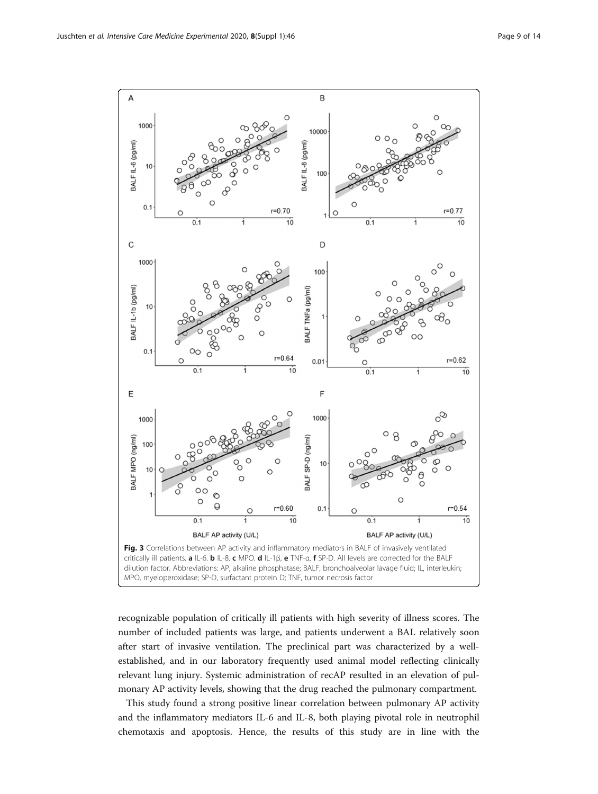<span id="page-8-0"></span>

recognizable population of critically ill patients with high severity of illness scores. The number of included patients was large, and patients underwent a BAL relatively soon after start of invasive ventilation. The preclinical part was characterized by a wellestablished, and in our laboratory frequently used animal model reflecting clinically relevant lung injury. Systemic administration of recAP resulted in an elevation of pulmonary AP activity levels, showing that the drug reached the pulmonary compartment.

This study found a strong positive linear correlation between pulmonary AP activity and the inflammatory mediators IL-6 and IL-8, both playing pivotal role in neutrophil chemotaxis and apoptosis. Hence, the results of this study are in line with the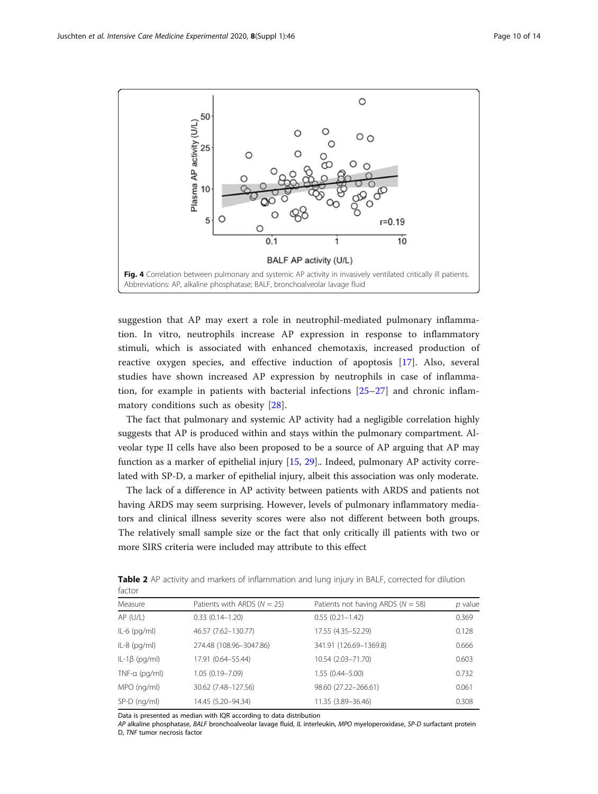<span id="page-9-0"></span>

suggestion that AP may exert a role in neutrophil-mediated pulmonary inflammation. In vitro, neutrophils increase AP expression in response to inflammatory stimuli, which is associated with enhanced chemotaxis, increased production of reactive oxygen species, and effective induction of apoptosis [\[17](#page-13-0)]. Also, several studies have shown increased AP expression by neutrophils in case of inflammation, for example in patients with bacterial infections  $[25-27]$  $[25-27]$  $[25-27]$  $[25-27]$  and chronic inflammatory conditions such as obesity [\[28](#page-13-0)].

The fact that pulmonary and systemic AP activity had a negligible correlation highly suggests that AP is produced within and stays within the pulmonary compartment. Alveolar type II cells have also been proposed to be a source of AP arguing that AP may function as a marker of epithelial injury [\[15](#page-13-0), [29](#page-13-0)].. Indeed, pulmonary AP activity correlated with SP-D, a marker of epithelial injury, albeit this association was only moderate.

The lack of a difference in AP activity between patients with ARDS and patients not having ARDS may seem surprising. However, levels of pulmonary inflammatory mediators and clinical illness severity scores were also not different between both groups. The relatively small sample size or the fact that only critically ill patients with two or more SIRS criteria were included may attribute to this effect

| factor                |                                 |                                       |         |  |
|-----------------------|---------------------------------|---------------------------------------|---------|--|
| Measure               | Patients with ARDS ( $N = 25$ ) | Patients not having ARDS ( $N = 58$ ) | p value |  |
| $AP$ (U/L)            | $0.33(0.14 - 1.20)$             | $0.55(0.21 - 1.42)$                   | 0.369   |  |
| $IL-6$ (pg/ml)        | 46.57 (7.62-130.77)             | 17.55 (4.35-52.29)                    | 0.128   |  |
| $IL-8$ (pg/ml)        | 274.48 (108.96-3047.86)         | 341.91 (126.69-1369.8)                | 0.666   |  |
| $IL-1\beta$ (pg/ml)   | 17.91 (0.64-55.44)              | 10.54 (2.03-71.70)                    | 0.603   |  |
| TNF- $\alpha$ (pg/ml) | 1.05 (0.19-7.09)                | $1.55(0.44 - 5.00)$                   | 0.732   |  |
| MPO (ng/ml)           | 30.62 (7.48-127.56)             | 98.60 (27.22-266.61)                  | 0.061   |  |
| $SP-D$ (ng/ml)        | 14.45 (5.20-94.34)              | 11.35 (3.89-36.46)                    | 0.308   |  |
|                       |                                 |                                       |         |  |

Table 2 AP activity and markers of inflammation and lung injury in BALF, corrected for dilution factor

Data is presented as median with IQR according to data distribution

AP alkaline phosphatase, BALF bronchoalveolar lavage fluid, IL interleukin, MPO myeloperoxidase, SP-D surfactant protein D, TNF tumor necrosis factor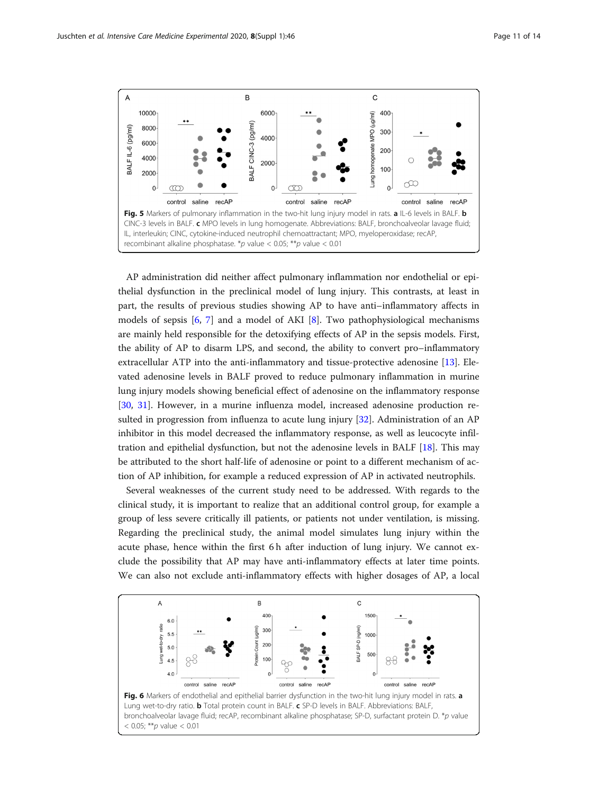<span id="page-10-0"></span>

AP administration did neither affect pulmonary inflammation nor endothelial or epithelial dysfunction in the preclinical model of lung injury. This contrasts, at least in part, the results of previous studies showing AP to have anti–inflammatory affects in models of sepsis [[6,](#page-12-0) [7\]](#page-12-0) and a model of AKI [\[8](#page-12-0)]. Two pathophysiological mechanisms are mainly held responsible for the detoxifying effects of AP in the sepsis models. First, the ability of AP to disarm LPS, and second, the ability to convert pro–inflammatory extracellular ATP into the anti-inflammatory and tissue-protective adenosine [\[13\]](#page-13-0). Elevated adenosine levels in BALF proved to reduce pulmonary inflammation in murine lung injury models showing beneficial effect of adenosine on the inflammatory response [[30,](#page-13-0) [31](#page-13-0)]. However, in a murine influenza model, increased adenosine production resulted in progression from influenza to acute lung injury [[32](#page-13-0)]. Administration of an AP inhibitor in this model decreased the inflammatory response, as well as leucocyte infiltration and epithelial dysfunction, but not the adenosine levels in BALF [[18\]](#page-13-0). This may be attributed to the short half-life of adenosine or point to a different mechanism of action of AP inhibition, for example a reduced expression of AP in activated neutrophils.

Several weaknesses of the current study need to be addressed. With regards to the clinical study, it is important to realize that an additional control group, for example a group of less severe critically ill patients, or patients not under ventilation, is missing. Regarding the preclinical study, the animal model simulates lung injury within the acute phase, hence within the first 6 h after induction of lung injury. We cannot exclude the possibility that AP may have anti-inflammatory effects at later time points. We can also not exclude anti-inflammatory effects with higher dosages of AP, a local

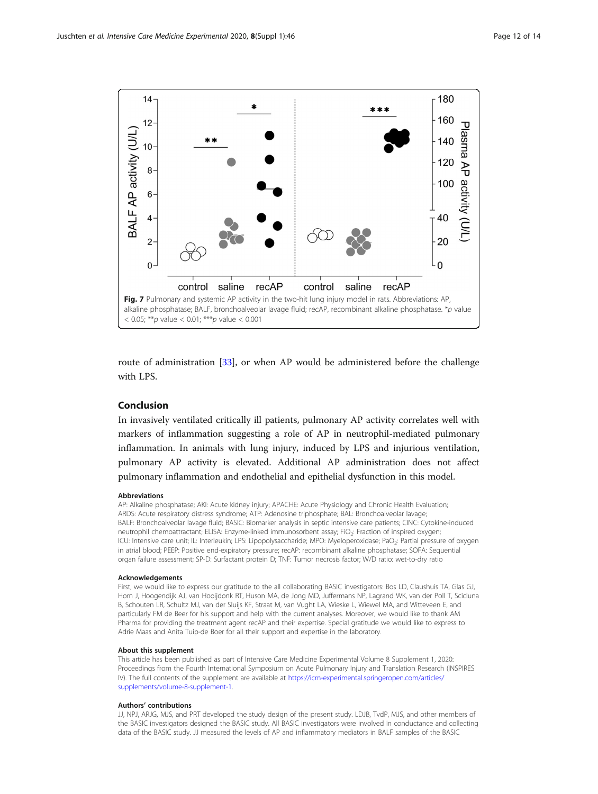<span id="page-11-0"></span>

route of administration [\[33](#page-13-0)], or when AP would be administered before the challenge with LPS.

# Conclusion

In invasively ventilated critically ill patients, pulmonary AP activity correlates well with markers of inflammation suggesting a role of AP in neutrophil-mediated pulmonary inflammation. In animals with lung injury, induced by LPS and injurious ventilation, pulmonary AP activity is elevated. Additional AP administration does not affect pulmonary inflammation and endothelial and epithelial dysfunction in this model.

#### Abbreviations

AP: Alkaline phosphatase; AKI: Acute kidney injury; APACHE: Acute Physiology and Chronic Health Evaluation; ARDS: Acute respiratory distress syndrome; ATP: Adenosine triphosphate; BAL: Bronchoalveolar lavage; BALF: Bronchoalveolar lavage fluid; BASIC: Biomarker analysis in septic intensive care patients; CINC: Cytokine-induced neutrophil chemoattractant; ELISA: Enzyme-linked immunosorbent assay; FiO<sub>2</sub>: Fraction of inspired oxygen; ICU: Intensive care unit; IL: Interleukin; LPS: Lipopolysaccharide; MPO: Myeloperoxidase; PaO<sub>2</sub>: Partial pressure of oxygen in atrial blood; PEEP: Positive end-expiratory pressure; recAP: recombinant alkaline phosphatase; SOFA: Sequential organ failure assessment; SP-D: Surfactant protein D; TNF: Tumor necrosis factor; W/D ratio: wet-to-dry ratio

#### Acknowledgements

First, we would like to express our gratitude to the all collaborating BASIC investigators: Bos LD, Claushuis TA, Glas GJ, Horn J, Hoogendijk AJ, van Hooijdonk RT, Huson MA, de Jong MD, Juffermans NP, Lagrand WK, van der Poll T, Scicluna B, Schouten LR, Schultz MJ, van der Sluijs KF, Straat M, van Vught LA, Wieske L, Wiewel MA, and Witteveen E, and particularly FM de Beer for his support and help with the current analyses. Moreover, we would like to thank AM Pharma for providing the treatment agent recAP and their expertise. Special gratitude we would like to express to Adrie Maas and Anita Tuip-de Boer for all their support and expertise in the laboratory.

#### About this supplement

This article has been published as part of Intensive Care Medicine Experimental Volume 8 Supplement 1, 2020: Proceedings from the Fourth International Symposium on Acute Pulmonary Injury and Translation Research (INSPIRES IV). The full contents of the supplement are available at [https://icm-experimental.springeropen.com/articles/](https://icm-experimental.springeropen.com/articles/supplements/volume-8-supplement-1) [supplements/volume-8-supplement-1](https://icm-experimental.springeropen.com/articles/supplements/volume-8-supplement-1).

#### Authors' contributions

JJ, NPJ, ARJG, MJS, and PRT developed the study design of the present study. LDJB, TvdP, MJS, and other members of the BASIC investigators designed the BASIC study. All BASIC investigators were involved in conductance and collecting data of the BASIC study. JJ measured the levels of AP and inflammatory mediators in BALF samples of the BASIC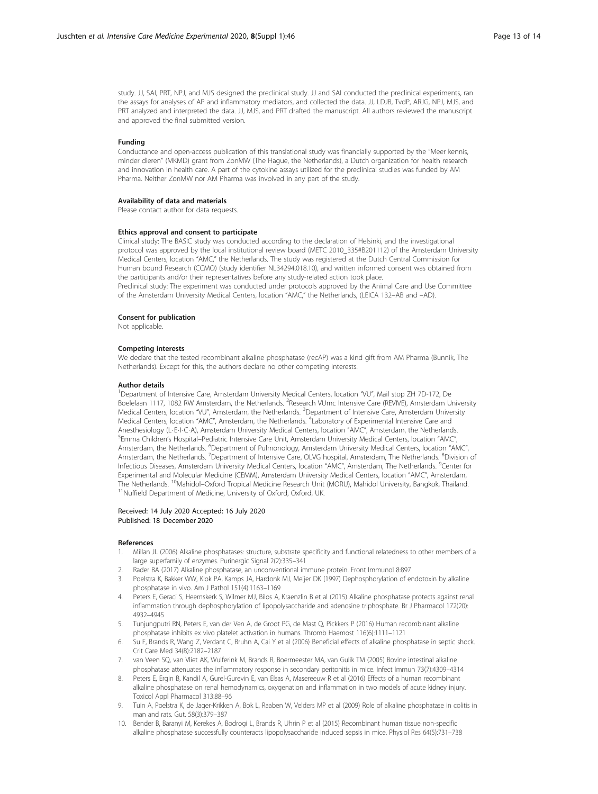<span id="page-12-0"></span>study. JJ, SAI, PRT, NPJ, and MJS designed the preclinical study. JJ and SAI conducted the preclinical experiments, ran the assays for analyses of AP and inflammatory mediators, and collected the data. JJ, LDJB, TvdP, ARJG, NPJ, MJS, and PRT analyzed and interpreted the data. JJ, MJS, and PRT drafted the manuscript. All authors reviewed the manuscript and approved the final submitted version.

#### Funding

Conductance and open-access publication of this translational study was financially supported by the "Meer kennis, minder dieren" (MKMD) grant from ZonMW (The Hague, the Netherlands), a Dutch organization for health research and innovation in health care. A part of the cytokine assays utilized for the preclinical studies was funded by AM Pharma. Neither ZonMW nor AM Pharma was involved in any part of the study.

#### Availability of data and materials

Please contact author for data requests.

#### Ethics approval and consent to participate

Clinical study: The BASIC study was conducted according to the declaration of Helsinki, and the investigational protocol was approved by the local institutional review board (METC 2010\_335#B201112) of the Amsterdam University Medical Centers, location "AMC," the Netherlands. The study was registered at the Dutch Central Commission for Human bound Research (CCMO) (study identifier NL34294.018.10), and written informed consent was obtained from the participants and/or their representatives before any study-related action took place. Preclinical study: The experiment was conducted under protocols approved by the Animal Care and Use Committee of the Amsterdam University Medical Centers, location "AMC," the Netherlands, (LEICA 132–AB and –AD).

#### Consent for publication

Not applicable.

# Competing interests

We declare that the tested recombinant alkaline phosphatase (recAP) was a kind gift from AM Pharma (Bunnik, The Netherlands). Except for this, the authors declare no other competing interests.

#### Author details

<sup>1</sup>Department of Intensive Care, Amsterdam University Medical Centers, location "VU", Mail stop ZH 7D-172, De Boelelaan 1117, 1082 RW Amsterdam, the Netherlands. <sup>2</sup>Research VUmc Intensive Care (REVIVE), Amsterdam University Medical Centers, location "VU", Amsterdam, the Netherlands. <sup>3</sup>Department of Intensive Care, Amsterdam University Medical Centers, location "AMC", Amsterdam, the Netherlands. <sup>4</sup>Laboratory of Experimental Intensive Care and Anesthesiology (L⋅E⋅I⋅C⋅A), Amsterdam University Medical Centers, location "AMC", Amsterdam, the Netherlands. <sup>5</sup> Emma Children's Hospital–Pediatric Intensive Care Unit, Amsterdam University Medical Centers, location "AMC", Amsterdam, the Netherlands. <sup>6</sup>Department of Pulmonology, Amsterdam University Medical Centers, location "AMC", Amsterdam, the Netherlands. <sup>7</sup>Department of Intensive Care, OLVG hospital, Amsterdam, The Netherlands. <sup>8</sup>Division of Infectious Diseases, Amsterdam University Medical Centers, location "AMC", Amsterdam, The Netherlands. <sup>9</sup>Center for Experimental and Molecular Medicine (CEMM), Amsterdam University Medical Centers, location "AMC", Amsterdam, The Netherlands. <sup>10</sup>Mahidol–Oxford Tropical Medicine Research Unit (MORU), Mahidol University, Bangkok, Thailand.<br><sup>11</sup>Nuffield Department of Medicine, University of Oxford, Oxford, UK.

#### Received: 14 July 2020 Accepted: 16 July 2020 Published: 18 December 2020

#### References

- 1. Millan JL (2006) Alkaline phosphatases: structure, substrate specificity and functional relatedness to other members of a large superfamily of enzymes. Purinergic Signal 2(2):335–341
- 2. Rader BA (2017) Alkaline phosphatase, an unconventional immune protein. Front Immunol 8:897
- 3. Poelstra K, Bakker WW, Klok PA, Kamps JA, Hardonk MJ, Meijer DK (1997) Dephosphorylation of endotoxin by alkaline phosphatase in vivo. Am J Pathol 151(4):1163–1169
- 4. Peters E, Geraci S, Heemskerk S, Wilmer MJ, Bilos A, Kraenzlin B et al (2015) Alkaline phosphatase protects against renal inflammation through dephosphorylation of lipopolysaccharide and adenosine triphosphate. Br J Pharmacol 172(20): 4932–4945
- 5. Tunjungputri RN, Peters E, van der Ven A, de Groot PG, de Mast Q, Pickkers P (2016) Human recombinant alkaline phosphatase inhibits ex vivo platelet activation in humans. Thromb Haemost 116(6):1111–1121
- 6. Su F, Brands R, Wang Z, Verdant C, Bruhn A, Cai Y et al (2006) Beneficial effects of alkaline phosphatase in septic shock. Crit Care Med 34(8):2182–2187
- 7. van Veen SQ, van Vliet AK, Wulferink M, Brands R, Boermeester MA, van Gulik TM (2005) Bovine intestinal alkaline phosphatase attenuates the inflammatory response in secondary peritonitis in mice. Infect Immun 73(7):4309–4314
- 8. Peters E, Ergin B, Kandil A, Gurel-Gurevin E, van Elsas A, Masereeuw R et al (2016) Effects of a human recombinant alkaline phosphatase on renal hemodynamics, oxygenation and inflammation in two models of acute kidney injury. Toxicol Appl Pharmacol 313:88–96
- 9. Tuin A, Poelstra K, de Jager-Krikken A, Bok L, Raaben W, Velders MP et al (2009) Role of alkaline phosphatase in colitis in man and rats. Gut. 58(3):379–387
- 10. Bender B, Baranyi M, Kerekes A, Bodrogi L, Brands R, Uhrin P et al (2015) Recombinant human tissue non-specific alkaline phosphatase successfully counteracts lipopolysaccharide induced sepsis in mice. Physiol Res 64(5):731–738